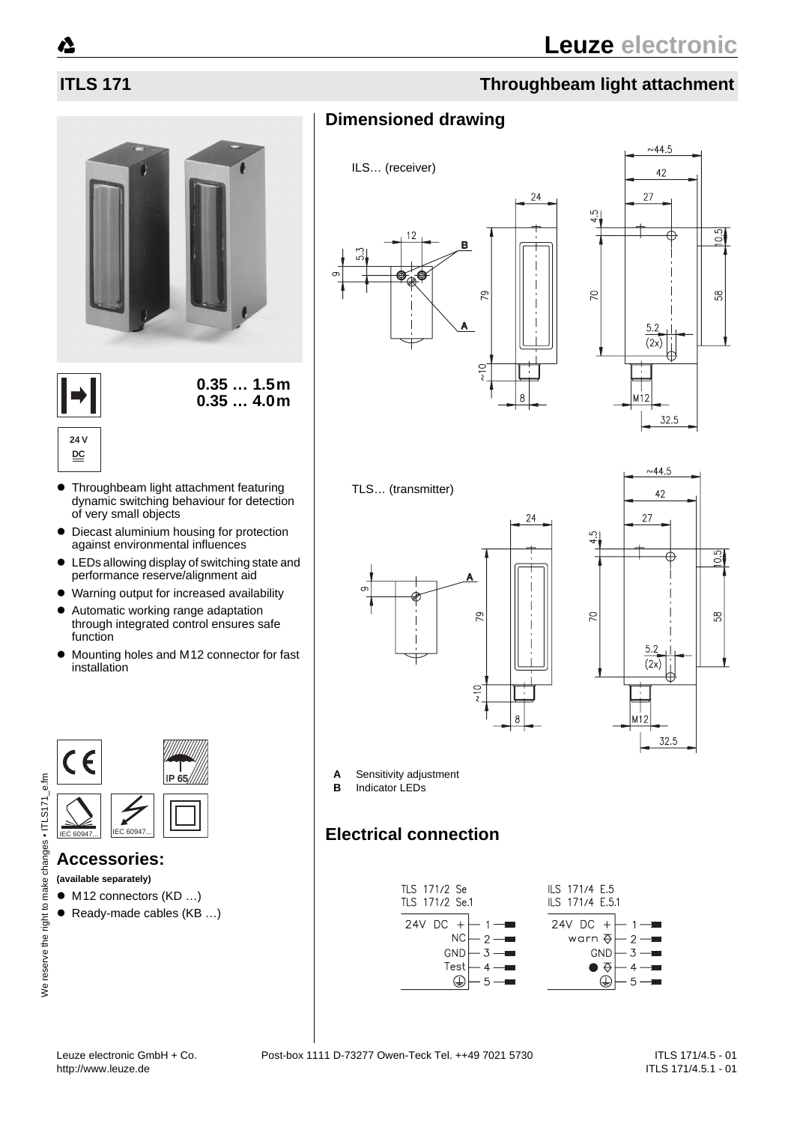





## **24 V DC**

- Throughbeam light attachment featuring dynamic switching behaviour for detection of very small objects
- Diecast aluminium housing for protection against environmental influences
- LEDs allowing display of switching state and performance reserve/alignment aid
- Warning output for increased availability
- Automatic working range adaptation through integrated control ensures safe function
- Mounting holes and M12 connector for fast installation



# **Accessories:**

**(available separately)**

- M12 connectors (KD ...)
- Ready-made cables (KB ...)

# **ITLS 171 Throughbeam light attachment**

# **Dimensioned drawing**





### TLS… (transmitter)





- **A** Sensitivity adjustment
- **B** Indicator LEDs

# **Electrical connection**